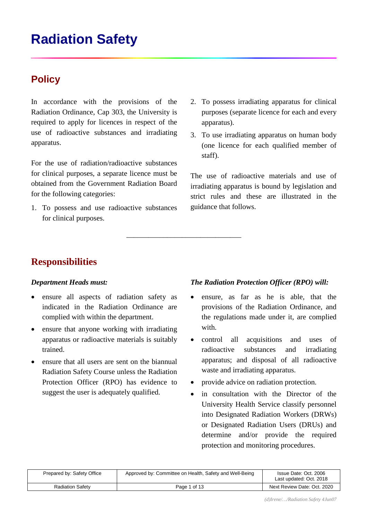# **Radiation Safety**

# **Policy**

In accordance with the provisions of the Radiation Ordinance, Cap 303, the University is required to apply for licences in respect of the use of radioactive substances and irradiating apparatus.

For the use of radiation/radioactive substances for clinical purposes, a separate licence must be obtained from the Government Radiation Board for the following categories:

1. To possess and use radioactive substances for clinical purposes.

- 2. To possess irradiating apparatus for clinical purposes (separate licence for each and every apparatus).
- 3. To use irradiating apparatus on human body (one licence for each qualified member of staff).

The use of radioactive materials and use of irradiating apparatus is bound by legislation and strict rules and these are illustrated in the guidance that follows.

# **Responsibilities**

#### *Department Heads must:*

- ensure all aspects of radiation safety as indicated in the Radiation Ordinance are complied with within the department.
- ensure that anyone working with irradiating apparatus or radioactive materials is suitably trained.
- ensure that all users are sent on the biannual Radiation Safety Course unless the Radiation Protection Officer (RPO) has evidence to suggest the user is adequately qualified.

#### *The Radiation Protection Officer (RPO) will:*

- ensure, as far as he is able, that the provisions of the Radiation Ordinance, and the regulations made under it, are complied with.
- control all acquisitions and uses of radioactive substances and irradiating apparatus; and disposal of all radioactive waste and irradiating apparatus.
- provide advice on radiation protection.
- in consultation with the Director of the University Health Service classify personnel into Designated Radiation Workers (DRWs) or Designated Radiation Users (DRUs) and determine and/or provide the required protection and monitoring procedures.

| Prepared by: Safety Office | Approved by: Committee on Health, Safety and Well-Being | Issue Date: Oct. 2006<br>Last updated: Oct. 2018 |
|----------------------------|---------------------------------------------------------|--------------------------------------------------|
| <b>Radiation Safety</b>    | Page 1 of 13                                            | Next Review Date: Oct. 2020                      |

\_\_\_\_\_\_\_\_\_\_\_\_\_\_\_\_\_\_\_\_\_\_\_\_\_\_\_\_\_\_\_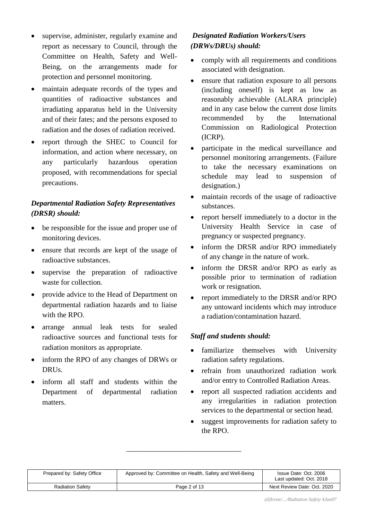- supervise, administer, regularly examine and report as necessary to Council, through the Committee on Health, Safety and Well-Being, on the arrangements made for protection and personnel monitoring.
- maintain adequate records of the types and quantities of radioactive substances and irradiating apparatus held in the University and of their fates; and the persons exposed to radiation and the doses of radiation received.
- report through the SHEC to Council for information, and action where necessary, on any particularly hazardous operation proposed, with recommendations for special precautions.

# *Departmental Radiation Safety Representatives (DRSR) should:*

- be responsible for the issue and proper use of monitoring devices.
- ensure that records are kept of the usage of radioactive substances.
- supervise the preparation of radioactive waste for collection.
- provide advice to the Head of Department on departmental radiation hazards and to liaise with the RPO.
- arrange annual leak tests for sealed radioactive sources and functional tests for radiation monitors as appropriate.
- inform the RPO of any changes of DRWs or DRUs.
- inform all staff and students within the Department of departmental radiation matters.

# *Designated Radiation Workers/Users (DRWs/DRUs) should:*

- comply with all requirements and conditions associated with designation.
- ensure that radiation exposure to all persons (including oneself) is kept as low as reasonably achievable (ALARA principle) and in any case below the current dose limits recommended by the International Commission on Radiological Protection (ICRP).
- participate in the medical surveillance and personnel monitoring arrangements. (Failure to take the necessary examinations on schedule may lead to suspension of designation.)
- maintain records of the usage of radioactive substances.
- report herself immediately to a doctor in the University Health Service in case of pregnancy or suspected pregnancy.
- inform the DRSR and/or RPO immediately of any change in the nature of work.
- inform the DRSR and/or RPO as early as possible prior to termination of radiation work or resignation.
- report immediately to the DRSR and/or RPO any untoward incidents which may introduce a radiation/contamination hazard.

## *Staff and students should:*

- familiarize themselves with University radiation safety regulations.
- refrain from unauthorized radiation work and/or entry to Controlled Radiation Areas.
- report all suspected radiation accidents and any irregularities in radiation protection services to the departmental or section head.
- suggest improvements for radiation safety to the RPO.

| Prepared by: Safety Office | Approved by: Committee on Health, Safety and Well-Being | Issue Date: Oct. 2006<br>Last updated: Oct. 2018 |
|----------------------------|---------------------------------------------------------|--------------------------------------------------|
| <b>Radiation Safety</b>    | Page 2 of 13                                            | Next Review Date: Oct. 2020                      |

\_\_\_\_\_\_\_\_\_\_\_\_\_\_\_\_\_\_\_\_\_\_\_\_\_\_\_\_\_\_\_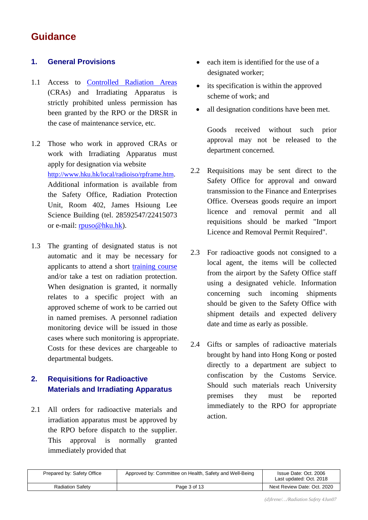# **Guidance**

## **1. General Provisions**

- 1.1 Access to [Controlled Radiation Areas](http://www.hku.hk/local/radioiso/cra.htm) (CRAs) and Irradiating Apparatus is strictly prohibited unless permission has been granted by the RPO or the DRSR in the case of maintenance service, etc.
- 1.2 Those who work in approved CRAs or work with Irradiating Apparatus must apply for designation via website [http://www.hku.hk/local/radioiso/rpframe.htm.](http://www.hku.hk/local/radioiso/rpframe.htm) Additional information is available from the Safety Office, Radiation Protection Unit, Room 402, James Hsioung Lee Science Building (tel. 28592547/22415073 or e-mail: [rpuso@hku.hk\)](mailto:rpuso@hku.hk).
- 1.3 The granting of designated status is not automatic and it may be necessary for applicants to attend a short [training course](http://www.hku.hk/radioiso/rpc.htm) and/or take a test on radiation protection. When designation is granted, it normally relates to a specific project with an approved scheme of work to be carried out in named premises. A personnel radiation monitoring device will be issued in those cases where such monitoring is appropriate. Costs for these devices are chargeable to departmental budgets.

# **2. Requisitions for Radioactive Materials and Irradiating Apparatus**

2.1 All orders for radioactive materials and irradiation apparatus must be approved by the RPO before dispatch to the supplier. This approval is normally granted immediately provided that

- each item is identified for the use of a designated worker;
- its specification is within the approved scheme of work; and
- all designation conditions have been met.

Goods received without such prior approval may not be released to the department concerned.

- 2.2 Requisitions may be sent direct to the Safety Office for approval and onward transmission to the Finance and Enterprises Office. Overseas goods require an import licence and removal permit and all requisitions should be marked "Import Licence and Removal Permit Required".
- 2.3 For radioactive goods not consigned to a local agent, the items will be collected from the airport by the Safety Office staff using a designated vehicle. Information concerning such incoming shipments should be given to the Safety Office with shipment details and expected delivery date and time as early as possible.
- 2.4 Gifts or samples of radioactive materials brought by hand into Hong Kong or posted directly to a department are subject to confiscation by the Customs Service. Should such materials reach University premises they must be reported immediately to the RPO for appropriate action.

| Prepared by: Safety Office | Approved by: Committee on Health, Safety and Well-Being | Issue Date: Oct. 2006<br>Last updated: Oct. 2018 |
|----------------------------|---------------------------------------------------------|--------------------------------------------------|
| <b>Radiation Safety</b>    | Page 3 of 13                                            | Next Review Date: Oct. 2020                      |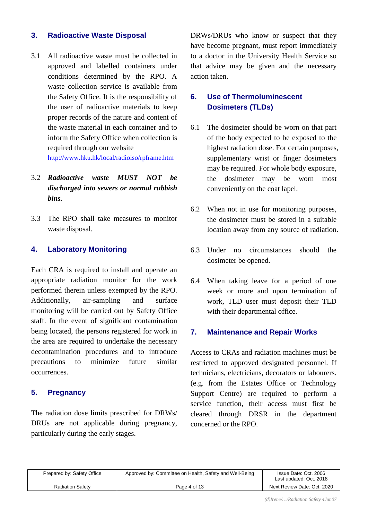#### **3. Radioactive Waste Disposal**

3.1 All radioactive waste must be collected in approved and labelled containers under conditions determined by the RPO. A waste collection service is available from the Safety Office. It is the responsibility of the user of radioactive materials to keep proper records of the nature and content of the waste material in each container and to inform the Safety Office when collection is required through our website <http://www.hku.hk/local/radioiso/rpframe.htm>

- 3.2 *Radioactive waste MUST NOT be discharged into sewers or normal rubbish bins.*
- 3.3 The RPO shall take measures to monitor waste disposal.

#### **4. Laboratory Monitoring**

Each CRA is required to install and operate an appropriate radiation monitor for the work performed therein unless exempted by the RPO. Additionally, air-sampling and surface monitoring will be carried out by Safety Office staff. In the event of significant contamination being located, the persons registered for work in the area are required to undertake the necessary decontamination procedures and to introduce precautions to minimize future similar occurrences.

## **5. Pregnancy**

The radiation dose limits prescribed for DRWs/ DRUs are not applicable during pregnancy, particularly during the early stages.

DRWs/DRUs who know or suspect that they have become pregnant, must report immediately to a doctor in the University Health Service so that advice may be given and the necessary action taken.

# **6. Use of Thermoluminescent Dosimeters (TLDs)**

- 6.1 The dosimeter should be worn on that part of the body expected to be exposed to the highest radiation dose. For certain purposes, supplementary wrist or finger dosimeters may be required. For whole body exposure, the dosimeter may be worn most conveniently on the coat lapel.
- 6.2 When not in use for monitoring purposes, the dosimeter must be stored in a suitable location away from any source of radiation.
- 6.3 Under no circumstances should the dosimeter be opened.
- 6.4 When taking leave for a period of one week or more and upon termination of work, TLD user must deposit their TLD with their departmental office.

#### **7. Maintenance and Repair Works**

Access to CRAs and radiation machines must be restricted to approved designated personnel. If technicians, electricians, decorators or labourers. (e.g. from the Estates Office or Technology Support Centre) are required to perform a service function, their access must first be cleared through DRSR in the department concerned or the RPO.

| Prepared by: Safety Office | Approved by: Committee on Health, Safety and Well-Being | Issue Date: Oct. 2006<br>Last updated: Oct. 2018 |
|----------------------------|---------------------------------------------------------|--------------------------------------------------|
| <b>Radiation Safety</b>    | Page 4 of 13                                            | Next Review Date: Oct. 2020                      |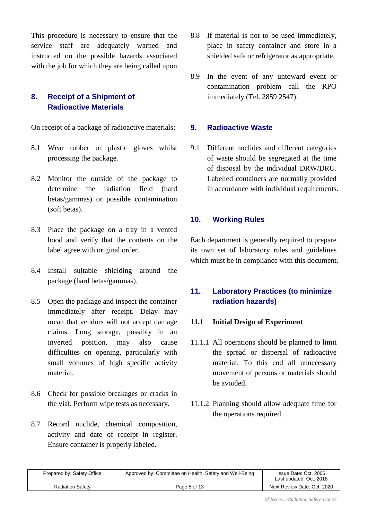This procedure is necessary to ensure that the service staff are adequately warned and instructed on the possible hazards associated with the job for which they are being called upon.

# **8. Receipt of a Shipment of Radioactive Materials**

On receipt of a package of radioactive materials:

- 8.1 Wear rubber or plastic gloves whilst processing the package.
- 8.2 Monitor the outside of the package to determine the radiation field (hard betas/gammas) or possible contamination (soft betas).
- 8.3 Place the package on a tray in a vented hood and verify that the contents on the label agree with original order.
- 8.4 Install suitable shielding around the package (hard betas/gammas).
- 8.5 Open the package and inspect the container immediately after receipt. Delay may mean that vendors will not accept damage claims. Long storage, possibly in an inverted position, may also cause difficulties on opening, particularly with small volumes of high specific activity material.
- 8.6 Check for possible breakages or cracks in the vial. Perform wipe tests as necessary.
- 8.7 Record nuclide, chemical composition, activity and date of receipt in register. Ensure container is properly labeled.
- 8.8 If material is not to be used immediately, place in safety container and store in a shielded safe or refrigerator as appropriate.
- 8.9 In the event of any untoward event or contamination problem call the RPO immediately (Tel. 2859 2547).

### **9. Radioactive Waste**

9.1 Different nuclides and different categories of waste should be segregated at the time of disposal by the individual DRW/DRU. Labelled containers are normally provided in accordance with individual requirements.

### **10. Working Rules**

Each department is generally required to prepare its own set of laboratory rules and guidelines which must be in compliance with this document.

# **11. Laboratory Practices (to minimize radiation hazards)**

#### **11.1 Initial Design of Experiment**

- 11.1.1 All operations should be planned to limit the spread or dispersal of radioactive material. To this end all unnecessary movement of persons or materials should be avoided.
- 11.1.2 Planning should allow adequate time for the operations required.

| Prepared by: Safety Office | Approved by: Committee on Health, Safety and Well-Being | Issue Date: Oct. 2006<br>Last updated: Oct. 2018 |
|----------------------------|---------------------------------------------------------|--------------------------------------------------|
| <b>Radiation Safety</b>    | Page 5 of 13                                            | Next Review Date: Oct. 2020                      |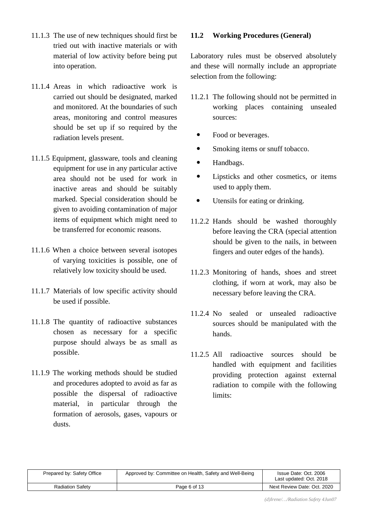- 11.1.3 The use of new techniques should first be tried out with inactive materials or with material of low activity before being put into operation.
- 11.1.4 Areas in which radioactive work is carried out should be designated, marked and monitored. At the boundaries of such areas, monitoring and control measures should be set up if so required by the radiation levels present.
- 11.1.5 Equipment, glassware, tools and cleaning equipment for use in any particular active area should not be used for work in inactive areas and should be suitably marked. Special consideration should be given to avoiding contamination of major items of equipment which might need to be transferred for economic reasons.
- 11.1.6 When a choice between several isotopes of varying toxicities is possible, one of relatively low toxicity should be used.
- 11.1.7 Materials of low specific activity should be used if possible.
- 11.1.8 The quantity of radioactive substances chosen as necessary for a specific purpose should always be as small as possible.
- 11.1.9 The working methods should be studied and procedures adopted to avoid as far as possible the dispersal of radioactive material, in particular through the formation of aerosols, gases, vapours or dusts.

#### **11.2 Working Procedures (General)**

Laboratory rules must be observed absolutely and these will normally include an appropriate selection from the following:

- 11.2.1 The following should not be permitted in working places containing unsealed sources:
	- Food or beverages.
	- Smoking items or snuff tobacco.
	- Handbags.
	- Lipsticks and other cosmetics, or items used to apply them.
	- Utensils for eating or drinking.
- 11.2.2 Hands should be washed thoroughly before leaving the CRA (special attention should be given to the nails, in between fingers and outer edges of the hands).
- 11.2.3 Monitoring of hands, shoes and street clothing, if worn at work, may also be necessary before leaving the CRA.
- 11.2.4 No sealed or unsealed radioactive sources should be manipulated with the hands.
- 11.2.5 All radioactive sources should be handled with equipment and facilities providing protection against external radiation to compile with the following limits:

| Prepared by: Safety Office | Approved by: Committee on Health, Safety and Well-Being | Issue Date: Oct. 2006<br>Last updated: Oct. 2018 |
|----------------------------|---------------------------------------------------------|--------------------------------------------------|
| <b>Radiation Safety</b>    | Page 6 of 13                                            | Next Review Date: Oct. 2020                      |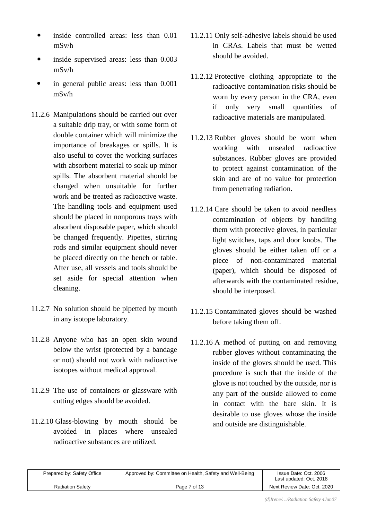- inside controlled areas: less than 0.01 mSv/h
- inside supervised areas: less than 0.003 mSv/h
- in general public areas: less than 0.001 mSv/h
- 11.2.6 Manipulations should be carried out over a suitable drip tray, or with some form of double container which will minimize the importance of breakages or spills. It is also useful to cover the working surfaces with absorbent material to soak up minor spills. The absorbent material should be changed when unsuitable for further work and be treated as radioactive waste. The handling tools and equipment used should be placed in nonporous trays with absorbent disposable paper, which should be changed frequently. Pipettes, stirring rods and similar equipment should never be placed directly on the bench or table. After use, all vessels and tools should be set aside for special attention when cleaning.
- 11.2.7 No solution should be pipetted by mouth in any isotope laboratory.
- 11.2.8 Anyone who has an open skin wound below the wrist (protected by a bandage or not) should not work with radioactive isotopes without medical approval.
- 11.2.9 The use of containers or glassware with cutting edges should be avoided.
- 11.2.10 Glass-blowing by mouth should be avoided in places where unsealed radioactive substances are utilized.
- 11.2.11 Only self-adhesive labels should be used in CRAs. Labels that must be wetted should be avoided.
- 11.2.12 Protective clothing appropriate to the radioactive contamination risks should be worn by every person in the CRA, even if only very small quantities of radioactive materials are manipulated.
- 11.2.13 Rubber gloves should be worn when working with unsealed radioactive substances. Rubber gloves are provided to protect against contamination of the skin and are of no value for protection from penetrating radiation.
- 11.2.14 Care should be taken to avoid needless contamination of objects by handling them with protective gloves, in particular light switches, taps and door knobs. The gloves should be either taken off or a piece of non-contaminated material (paper), which should be disposed of afterwards with the contaminated residue, should be interposed.
- 11.2.15 Contaminated gloves should be washed before taking them off.
- 11.2.16 A method of putting on and removing rubber gloves without contaminating the inside of the gloves should be used. This procedure is such that the inside of the glove is not touched by the outside, nor is any part of the outside allowed to come in contact with the bare skin. It is desirable to use gloves whose the inside and outside are distinguishable.

| Prepared by: Safety Office | Approved by: Committee on Health, Safety and Well-Being | Issue Date: Oct. 2006<br>Last updated: Oct. 2018 |
|----------------------------|---------------------------------------------------------|--------------------------------------------------|
| <b>Radiation Safety</b>    | Page 7 of 13                                            | Next Review Date: Oct. 2020                      |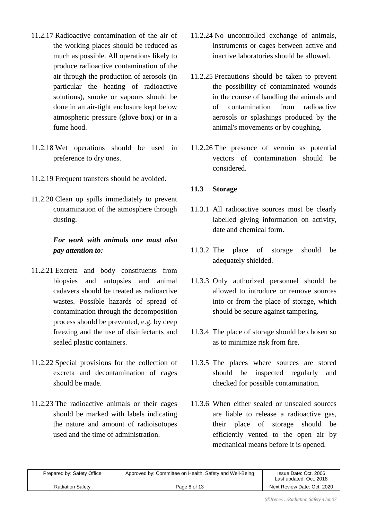- 11.2.17 Radioactive contamination of the air of the working places should be reduced as much as possible. All operations likely to produce radioactive contamination of the air through the production of aerosols (in particular the heating of radioactive solutions), smoke or vapours should be done in an air-tight enclosure kept below atmospheric pressure (glove box) or in a fume hood.
- 11.2.18 Wet operations should be used in preference to dry ones.
- 11.2.19 Frequent transfers should be avoided.
- 11.2.20 Clean up spills immediately to prevent contamination of the atmosphere through dusting.

# *For work with animals one must also pay attention to:*

- 11.2.21 Excreta and body constituents from biopsies and autopsies and animal cadavers should be treated as radioactive wastes. Possible hazards of spread of contamination through the decomposition process should be prevented, e.g. by deep freezing and the use of disinfectants and sealed plastic containers.
- 11.2.22 Special provisions for the collection of excreta and decontamination of cages should be made.
- 11.2.23 The radioactive animals or their cages should be marked with labels indicating the nature and amount of radioisotopes used and the time of administration.
- 11.2.24 No uncontrolled exchange of animals, instruments or cages between active and inactive laboratories should be allowed.
- 11.2.25 Precautions should be taken to prevent the possibility of contaminated wounds in the course of handling the animals and of contamination from radioactive aerosols or splashings produced by the animal's movements or by coughing.
- 11.2.26 The presence of vermin as potential vectors of contamination should be considered.

#### **11.3 Storage**

- 11.3.1 All radioactive sources must be clearly labelled giving information on activity, date and chemical form.
- 11.3.2 The place of storage should be adequately shielded.
- 11.3.3 Only authorized personnel should be allowed to introduce or remove sources into or from the place of storage, which should be secure against tampering.
- 11.3.4 The place of storage should be chosen so as to minimize risk from fire.
- 11.3.5 The places where sources are stored should be inspected regularly and checked for possible contamination.
- 11.3.6 When either sealed or unsealed sources are liable to release a radioactive gas, their place of storage should be efficiently vented to the open air by mechanical means before it is opened.

| Prepared by: Safety Office | Approved by: Committee on Health, Safety and Well-Being | Issue Date: Oct. 2006<br>Last updated: Oct. 2018 |
|----------------------------|---------------------------------------------------------|--------------------------------------------------|
| <b>Radiation Safety</b>    | Page 8 of 13                                            | Next Review Date: Oct. 2020                      |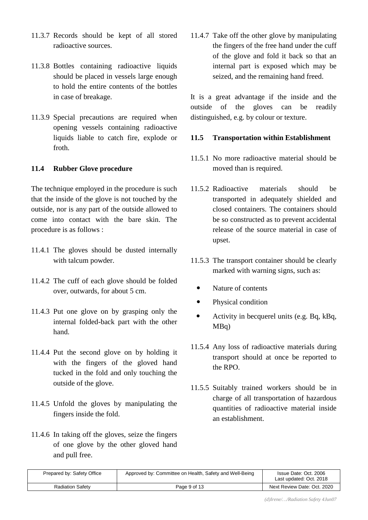- 11.3.7 Records should be kept of all stored radioactive sources.
- 11.3.8 Bottles containing radioactive liquids should be placed in vessels large enough to hold the entire contents of the bottles in case of breakage.
- 11.3.9 Special precautions are required when opening vessels containing radioactive liquids liable to catch fire, explode or froth.

#### **11.4 Rubber Glove procedure**

The technique employed in the procedure is such that the inside of the glove is not touched by the outside, nor is any part of the outside allowed to come into contact with the bare skin. The procedure is as follows :

- 11.4.1 The gloves should be dusted internally with talcum powder.
- 11.4.2 The cuff of each glove should be folded over, outwards, for about 5 cm.
- 11.4.3 Put one glove on by grasping only the internal folded-back part with the other hand.
- 11.4.4 Put the second glove on by holding it with the fingers of the gloved hand tucked in the fold and only touching the outside of the glove.
- 11.4.5 Unfold the gloves by manipulating the fingers inside the fold.
- 11.4.6 In taking off the gloves, seize the fingers of one glove by the other gloved hand and pull free.

11.4.7 Take off the other glove by manipulating the fingers of the free hand under the cuff of the glove and fold it back so that an internal part is exposed which may be seized, and the remaining hand freed.

It is a great advantage if the inside and the outside of the gloves can be readily distinguished, e.g. by colour or texture.

#### **11.5 Transportation within Establishment**

- 11.5.1 No more radioactive material should be moved than is required.
- 11.5.2 Radioactive materials should be transported in adequately shielded and closed containers. The containers should be so constructed as to prevent accidental release of the source material in case of upset.
- 11.5.3 The transport container should be clearly marked with warning signs, such as:
	- Nature of contents
	- Physical condition
	- Activity in becquerel units (e.g. Bq, kBq, MBq)
- 11.5.4 Any loss of radioactive materials during transport should at once be reported to the RPO.
- 11.5.5 Suitably trained workers should be in charge of all transportation of hazardous quantities of radioactive material inside an establishment.

| Prepared by: Safety Office | Approved by: Committee on Health, Safety and Well-Being | Issue Date: Oct. 2006<br>Last updated: Oct. 2018 |
|----------------------------|---------------------------------------------------------|--------------------------------------------------|
| <b>Radiation Safety</b>    | Page 9 of 13                                            | Next Review Date: Oct. 2020                      |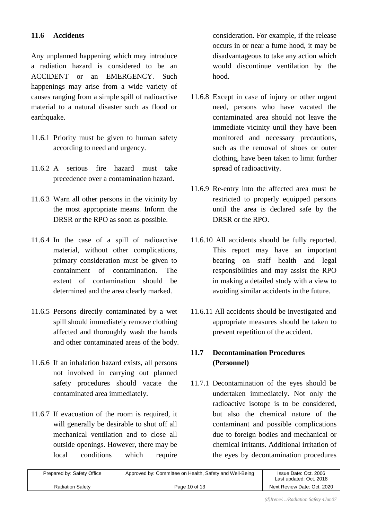### **11.6 Accidents**

Any unplanned happening which may introduce a radiation hazard is considered to be an ACCIDENT or an EMERGENCY. Such happenings may arise from a wide variety of causes ranging from a simple spill of radioactive material to a natural disaster such as flood or earthquake.

- 11.6.1 Priority must be given to human safety according to need and urgency.
- 11.6.2 A serious fire hazard must take precedence over a contamination hazard.
- 11.6.3 Warn all other persons in the vicinity by the most appropriate means. Inform the DRSR or the RPO as soon as possible.
- 11.6.4 In the case of a spill of radioactive material, without other complications, primary consideration must be given to containment of contamination. The extent of contamination should be determined and the area clearly marked.
- 11.6.5 Persons directly contaminated by a wet spill should immediately remove clothing affected and thoroughly wash the hands and other contaminated areas of the body.
- 11.6.6 If an inhalation hazard exists, all persons not involved in carrying out planned safety procedures should vacate the contaminated area immediately.
- 11.6.7 If evacuation of the room is required, it will generally be desirable to shut off all mechanical ventilation and to close all outside openings. However, there may be local conditions which require

consideration. For example, if the release occurs in or near a fume hood, it may be disadvantageous to take any action which would discontinue ventilation by the hood.

- 11.6.8 Except in case of injury or other urgent need, persons who have vacated the contaminated area should not leave the immediate vicinity until they have been monitored and necessary precautions, such as the removal of shoes or outer clothing, have been taken to limit further spread of radioactivity.
- 11.6.9 Re-entry into the affected area must be restricted to properly equipped persons until the area is declared safe by the DRSR or the RPO.
- 11.6.10 All accidents should be fully reported. This report may have an important bearing on staff health and legal responsibilities and may assist the RPO in making a detailed study with a view to avoiding similar accidents in the future.
- 11.6.11 All accidents should be investigated and appropriate measures should be taken to prevent repetition of the accident.

## **11.7 Decontamination Procedures (Personnel)**

11.7.1 Decontamination of the eyes should be undertaken immediately. Not only the radioactive isotope is to be considered, but also the chemical nature of the contaminant and possible complications due to foreign bodies and mechanical or chemical irritants. Additional irritation of the eyes by decontamination procedures

| Prepared by: Safety Office | Approved by: Committee on Health, Safety and Well-Being | Issue Date: Oct. 2006<br>Last updated: Oct. 2018 |
|----------------------------|---------------------------------------------------------|--------------------------------------------------|
| <b>Radiation Safety</b>    | Page 10 of 13                                           | Next Review Date: Oct. 2020                      |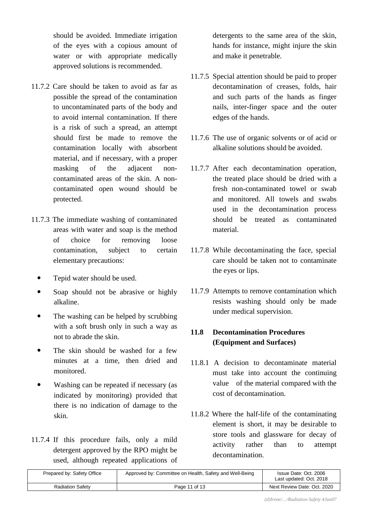should be avoided. Immediate irrigation of the eyes with a copious amount of water or with appropriate medically approved solutions is recommended.

- 11.7.2 Care should be taken to avoid as far as possible the spread of the contamination to uncontaminated parts of the body and to avoid internal contamination. If there is a risk of such a spread, an attempt should first be made to remove the contamination locally with absorbent material, and if necessary, with a proper masking of the adjacent noncontaminated areas of the skin. A noncontaminated open wound should be protected.
- 11.7.3 The immediate washing of contaminated areas with water and soap is the method of choice for removing loose contamination, subject to certain elementary precautions:
	- Tepid water should be used.
	- Soap should not be abrasive or highly alkaline.
	- The washing can be helped by scrubbing with a soft brush only in such a way as not to abrade the skin.
	- The skin should be washed for a few minutes at a time, then dried and monitored.
	- Washing can be repeated if necessary (as indicated by monitoring) provided that there is no indication of damage to the skin.
- 11.7.4 If this procedure fails, only a mild detergent approved by the RPO might be used, although repeated applications of

detergents to the same area of the skin, hands for instance, might injure the skin and make it penetrable.

- 11.7.5 Special attention should be paid to proper decontamination of creases, folds, hair and such parts of the hands as finger nails, inter-finger space and the outer edges of the hands.
- 11.7.6 The use of organic solvents or of acid or alkaline solutions should be avoided.
- 11.7.7 After each decontamination operation, the treated place should be dried with a fresh non-contaminated towel or swab and monitored. All towels and swabs used in the decontamination process should be treated as contaminated material.
- 11.7.8 While decontaminating the face, special care should be taken not to contaminate the eyes or lips.
- 11.7.9 Attempts to remove contamination which resists washing should only be made under medical supervision.

# **11.8 Decontamination Procedures (Equipment and Surfaces)**

- 11.8.1 A decision to decontaminate material must take into account the continuing value of the material compared with the cost of decontamination.
- 11.8.2 Where the half-life of the contaminating element is short, it may be desirable to store tools and glassware for decay of activity rather than to attempt decontamination.

| Prepared by: Safety Office | Approved by: Committee on Health, Safety and Well-Being | Issue Date: Oct. 2006<br>Last updated: Oct. 2018 |
|----------------------------|---------------------------------------------------------|--------------------------------------------------|
| <b>Radiation Safety</b>    | Page 11 of 13                                           | Next Review Date: Oct. 2020                      |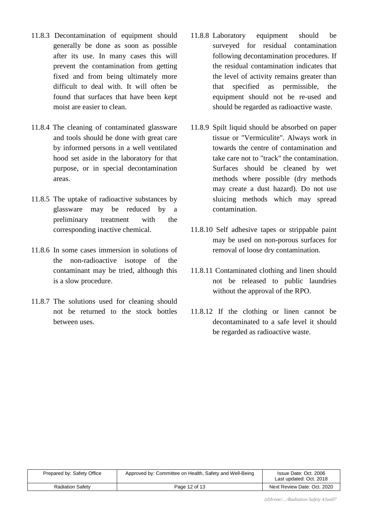- 11.8.3 Decontamination of equipment should generally be done as soon as possible after its use. In many cases this will prevent the contamination from getting fixed and from being ultimately more difficult to deal with. It will often be found that surfaces that have been kept moist are easier to clean.
- 11.8.4 The cleaning of contaminated glassware and tools should be done with great care by informed persons in a well ventilated hood set aside in the laboratory for that purpose, or in special decontamination areas.
- 11.8.5 The uptake of radioactive substances by glassware may be reduced by a preliminary treatment with the corresponding inactive chemical.
- 11.8.6 In some cases immersion in solutions of the non-radioactive isotope of the contaminant may be tried, although this is a slow procedure.
- 11.8.7 The solutions used for cleaning should not be returned to the stock bottles between uses.
- 11.8.8 Laboratory equipment should be surveyed for residual contamination following decontamination procedures. If the residual contamination indicates that the level of activity remains greater than that specified as permissible, the equipment should not be re-used and should be regarded as radioactive waste.
- 11.8.9 Spilt liquid should be absorbed on paper tissue or "Vermiculite". Always work in towards the centre of contamination and take care not to "track" the contamination. Surfaces should be cleaned by wet methods where possible (dry methods may create a dust hazard). Do not use sluicing methods which may spread contamination.
- 11.8.10 Self adhesive tapes or strippable paint may be used on non-porous surfaces for removal of loose dry contamination.
- 11.8.11 Contaminated clothing and linen should not be released to public laundries without the approval of the RPO.
- 11.8.12 If the clothing or linen cannot be decontaminated to a safe level it should be regarded as radioactive waste.

| Prepared by: Safety Office | Approved by: Committee on Health, Safety and Well-Being | Issue Date: Oct. 2006<br>Last updated: Oct. 2018 |
|----------------------------|---------------------------------------------------------|--------------------------------------------------|
| <b>Radiation Safety</b>    | Page 12 of 13                                           | Next Review Date: Oct. 2020                      |